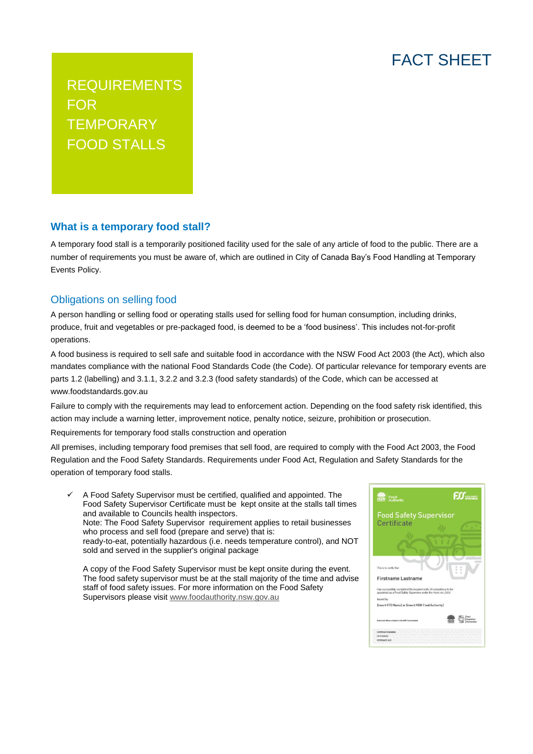## FACT SHEET

REQUIREMENTS FOR **TEMPORARY** FOOD STALLS

## **What is a temporary food stall?**

A temporary food stall is a temporarily positioned facility used for the sale of any article of food to the public. There are a number of requirements you must be aware of, which are outlined in City of Canada Bay's Food Handling at Temporary Events Policy.

## Obligations on selling food

A person handling or selling food or operating stalls used for selling food for human consumption, including drinks, produce, fruit and vegetables or pre-packaged food, is deemed to be a 'food business'. This includes not-for-profit operations.

A food business is required to sell safe and suitable food in accordance with the NSW Food Act 2003 (the Act), which also mandates compliance with the national Food Standards Code (the Code). Of particular relevance for temporary events are parts 1.2 (labelling) and 3.1.1, 3.2.2 and 3.2.3 (food safety standards) of the Code, which can be accessed at www.foodstandards.gov.au

Failure to comply with the requirements may lead to enforcement action. Depending on the food safety risk identified, this action may include a warning letter, improvement notice, penalty notice, seizure, prohibition or prosecution.

Requirements for temporary food stalls construction and operation

All premises, including temporary food premises that sell food, are required to comply with the Food Act 2003, the Food Regulation and the Food Safety Standards. Requirements under Food Act, Regulation and Safety Standards for the operation of temporary food stalls.

 A Food Safety Supervisor must be certified, qualified and appointed. The Food Safety Supervisor Certificate must be kept onsite at the stalls tall times and available to Councils health inspectors. Note: The Food Safety Supervisor requirement applies to retail businesses who process and sell food (prepare and serve) that is: ready-to-eat, potentially hazardous (i.e. needs temperature control), and NOT sold and served in the supplier's original package

A copy of the Food Safety Supervisor must be kept onsite during the event. The food safety supervisor must be at the stall majority of the time and advise staff of food safety issues. For more information on the Food Safety Supervisors please visi[t www.foodauthority.nsw.gov.au](http://www.foodauthority.nsw.gov.au/)

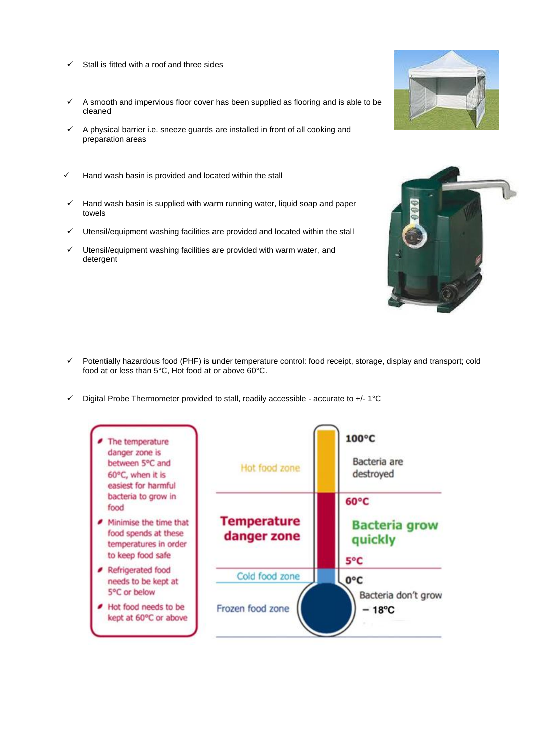- $\checkmark$  Stall is fitted with a roof and three sides
- $\checkmark$  A smooth and impervious floor cover has been supplied as flooring and is able to be cleaned
- $\checkmark$  A physical barrier i.e. sneeze guards are installed in front of all cooking and preparation areas
- $\checkmark$  Hand wash basin is provided and located within the stall
- Hand wash basin is supplied with warm running water, liquid soap and paper towels
- $\checkmark$  Utensil/equipment washing facilities are provided and located within the stall
- Utensil/equipment washing facilities are provided with warm water, and detergent





- $\checkmark$  Potentially hazardous food (PHF) is under temperature control: food receipt, storage, display and transport; cold food at or less than 5°C, Hot food at or above 60°C.
- $\checkmark$  Digital Probe Thermometer provided to stall, readily accessible accurate to +/- 1°C